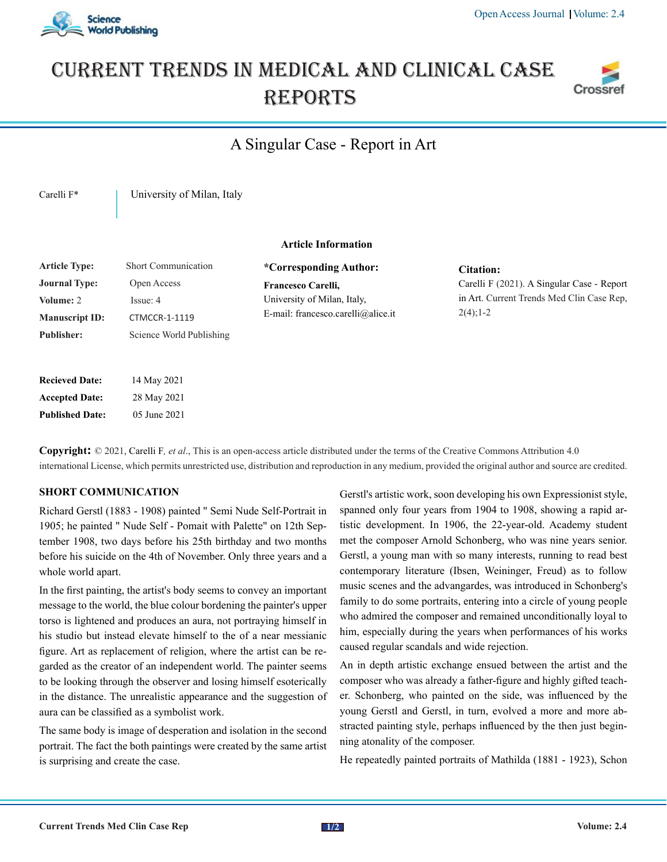

# Current trends in medical and Clinical case **REPORTS**



# A Singular Case - Report in Art

Carelli F<sup>\*</sup> | University of Milan, Italy

## **Article Information**

| <b>Article Type:</b>  | Short Communication      |
|-----------------------|--------------------------|
| <b>Journal Type:</b>  | Open Access              |
| Volume: 2             | Issue: 4                 |
| <b>Manuscript ID:</b> | <b>CTMCCR-1-1119</b>     |
| <b>Publisher:</b>     | Science World Publishing |
|                       |                          |

| <b>Recieved Date:</b>  | 14 May 2021  |
|------------------------|--------------|
| <b>Accepted Date:</b>  | 28 May 2021  |
| <b>Published Date:</b> | 05 June 2021 |

**\*Corresponding Author: Francesco Carelli,** University of Milan, Italy, E-mail: francesco.carelli@alice.it

### **Citation:**

Carelli F (2021). A Singular Case - Report in Art. Current Trends Med Clin Case Rep,  $2(4)$ ; 1-2

**Copyright:** © 2021, Carelli F*, et al*., This is an open-access article distributed under the terms of the Creative Commons Attribution 4.0 international License, which permits unrestricted use, distribution and reproduction in any medium, provided the original author and source are credited.

### **SHORT COMMUNICATION**

Richard Gerstl (1883 - 1908) painted " Semi Nude Self-Portrait in 1905; he painted " Nude Self - Pomait with Palette" on 12th September 1908, two days before his 25th birthday and two months before his suicide on the 4th of November. Only three years and a whole world apart.

In the first painting, the artist's body seems to convey an important message to the world, the blue colour bordening the painter's upper torso is lightened and produces an aura, not portraying himself in his studio but instead elevate himself to the of a near messianic figure. Art as replacement of religion, where the artist can be regarded as the creator of an independent world. The painter seems to be looking through the observer and losing himself esoterically in the distance. The unrealistic appearance and the suggestion of aura can be classified as a symbolist work.

The same body is image of desperation and isolation in the second portrait. The fact the both paintings were created by the same artist is surprising and create the case.

Gerstl's artistic work, soon developing his own Expressionist style, spanned only four years from 1904 to 1908, showing a rapid artistic development. In 1906, the 22-year-old. Academy student met the composer Arnold Schonberg, who was nine years senior. Gerstl, a young man with so many interests, running to read best contemporary literature (Ibsen, Weininger, Freud) as to follow music scenes and the advangardes, was introduced in Schonberg's family to do some portraits, entering into a circle of young people who admired the composer and remained unconditionally loyal to him, especially during the years when performances of his works caused regular scandals and wide rejection.

An in depth artistic exchange ensued between the artist and the composer who was already a father-figure and highly gifted teacher. Schonberg, who painted on the side, was influenced by the young Gerstl and Gerstl, in turn, evolved a more and more abstracted painting style, perhaps influenced by the then just beginning atonality of the composer.

He repeatedly painted portraits of Mathilda (1881 - 1923), Schon